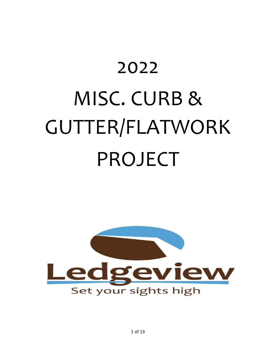# 2022 MISC. CURB & GUTTER/FLATWORK PROJECT



1 of 13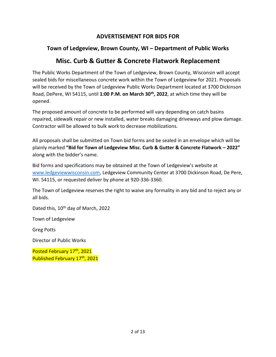## **ADVERTISEMENT FOR BIDS FOR**

# **Town of Ledgeview, Brown County, WI – Department of Public Works**

# **Misc. Curb & Gutter & Concrete Flatwork Replacement**

The Public Works Department of the Town of Ledgeview, Brown County, Wisconsin will accept sealed bids for miscellaneous concrete work within the Town of Ledgeview for 2021. Proposals will be received by the Town of Ledgeview Public Works Department located at 3700 Dickinson Road, DePere, WI 54115, until **1:00 P.M. on March 30th, 2022**, at which time they will be opened.

The proposed amount of concrete to be performed will vary depending on catch basins repaired, sidewalk repair or new installed, water breaks damaging driveways and plow damage. Contractor will be allowed to bulk work to decrease mobilizations.

All proposals shall be submitted on Town bid forms and be sealed in an envelope which will be plainly marked **"Bid for Town of Ledgeview Misc. Curb & Gutter & Concrete Flatwork – 2022"**  along with the bidder's name.

Bid forms and specifications may be obtained at the Town of Ledgeview's website at [www.ledgeviewwisconsin.com,](http://www.ledgeviewwisconsin.com/) Ledgeview Community Center at 3700 Dickinson Road, De Pere, WI. 54115, or requested deliver by phone at 920-336-3360.

The Town of Ledgeview reserves the right to waive any formality in any bid and to reject any or all bids.

Dated this, 10<sup>th</sup> day of March, 2022

Town of Ledgeview

Greg Potts

Director of Public Works

Posted February 17<sup>th</sup>, 2021 Published February 17th, 2021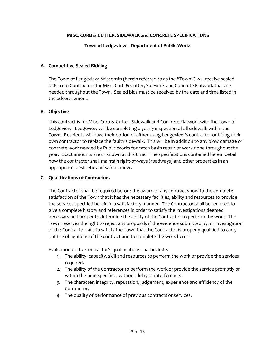#### **MISC. CURB & GUTTER, SIDEWALK and CONCRETE SPECIFICATIONS**

**Town of Ledgeview – Department of Public Works**

#### **A. Competitive Sealed Bidding**

The Town of Ledgeview, Wisconsin (herein referred to as the "Town") will receive sealed bids from Contractors for Misc. Curb & Gutter, Sidewalk and Concrete Flatwork that are needed throughout the Town. Sealed bids must be received by the date and time listed in the advertisement.

#### **B. Objective**

This contract is for Misc. Curb & Gutter, Sidewalk and Concrete Flatwork with the Town of Ledgeview. Ledgeview will be completing a yearly inspection of all sidewalk within the Town. Residents will have their option of either using Ledgeview's contractor or hiring their own contractor to replace the faulty sidewalk. This will be in addition to any plow damage or concrete work needed by Public Works for catch basin repair or work done throughout the year. Exact amounts are unknown at this time. The specifications contained herein detail how the contractor shall maintain right-of-ways (roadways) and other properties in an appropriate, aesthetic and safe manner.

#### **C. Qualifications of Contractors**

The Contractor shall be required before the award of any contract show to the complete satisfaction of the Town that it has the necessary facilities, ability and resources to provide the services specified herein in a satisfactory manner. The Contractor shall be required to give a complete history and references in order to satisfy the investigations deemed necessary and proper to determine the ability of the Contractor to perform the work. The Town reserves the right to reject any proposals if the evidence submitted by, or investigation of the Contractor fails to satisfy the Town that the Contractor is properly qualified to carry out the obligations of the contract and to complete the work herein.

Evaluation of the Contractor's qualifications shall include:

- 1. The ability, capacity, skill and resources to perform the work or provide the services required.
- 2. The ability of the Contractor to perform the work or provide the service promptly or within the time specified, without delay or interference.
- 3. The character, integrity, reputation, judgement, experience and efficiency of the Contractor.
- 4. The quality of performance of previous contracts or services.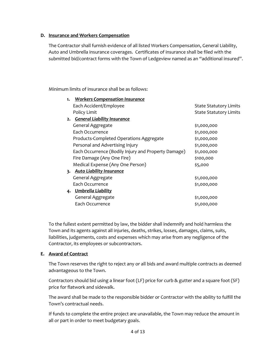#### **D. Insurance and Workers Compensation**

The Contractor shall furnish evidence of all listed Workers Compensation, General Liability, Auto and Umbrella insurance coverages. Certificates of insurance shall be filed with the submitted bid/contract forms with the Town of Ledgeview named as an "additional insured".

Minimum limits of insurance shall be as follows:

| 1. Workers Compensation Insurance                   |                               |
|-----------------------------------------------------|-------------------------------|
| Each Accident/Employee                              | State Statutory Limits        |
| Policy Limit                                        | <b>State Statutory Limits</b> |
| 2. General Liability Insurance                      |                               |
| General Aggregate                                   | \$1,000,000                   |
| Each Occurrence                                     | \$1,000,000                   |
| Products-Completed Operations Aggregate             | \$1,000,000                   |
| Personal and Advertising Injury                     | \$1,000,000                   |
| Each Occurrence (Bodily Injury and Property Damage) | \$1,000,000                   |
| Fire Damage (Any One Fire)                          | \$100,000                     |
| Medical Expense (Any One Person)                    | \$5,000                       |
| 3. Auto Liability Insurance                         |                               |
| General Aggregate                                   | \$1,000,000                   |
| Each Occurrence                                     | \$1,000,000                   |
| 4. Umbrella Liability                               |                               |
| General Aggregate                                   | \$1,000,000                   |
| Each Occurrence                                     | \$1,000,000                   |

To the fullest extent permitted by law, the bidder shall indemnify and hold harmless the Town and its agents against all injuries, deaths, strikes, losses, damages, claims, suits, liabilities, judgements, costs and expenses which may arise from any negligence of the Contractor, its employees or subcontractors.

#### **E. Award of Contract**

The Town reserves the right to reject any or all bids and award multiple contracts as deemed advantageous to the Town.

Contractors should bid using a linear foot (LF) price for curb & gutter and a square foot (SF) price for flatwork and sidewalk.

The award shall be made to the responsible bidder or Contractor with the ability to fulfill the Town's contractual needs.

If funds to complete the entire project are unavailable, the Town may reduce the amount in all or part in order to meet budgetary goals.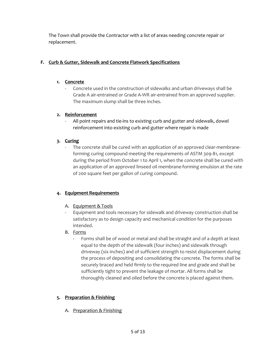The Town shall provide the Contractor with a list of areas needing concrete repair or replacement.

## **F. Curb & Gutter, Sidewalk and Concrete Flatwork Specifications**

## **1. Concrete**

- Concrete used in the construction of sidewalks and urban driveways shall be Grade A air-entrained or Grade A-WR air-entrained from an approved supplier. The maximum slump shall be three inches.

## **2. Reinforcement**

All point repairs and tie-ins to existing curb and gutter and sidewalk, dowel reinforcement into existing curb and gutter where repair is made

## **3. Curing**

The concrete shall be cured with an application of an approved clear-membraneforming curing compound meeting the requirements of ASTM 309-81, except during the period from October 1 to April 1, when the concrete shall be cured with an application of an approved linseed oil membrane-forming emulsion at the rate of 200 square feet per gallon of curing compound.

# **4. Equipment Requirements**

- A. Equipment & Tools
- Equipment and tools necessary for sidewalk and driveway construction shall be satisfactory as to design capacity and mechanical condition for the purposes intended.

# B. Forms

Forms shall be of wood or metal and shall be straight and of a depth at least equal to the depth of the sidewalk (four inches) and sidewalk through driveway (six inches) and of sufficient strength to resist displacement during the process of depositing and consolidating the concrete. The forms shall be securely braced and held firmly to the required line and grade and shall be sufficiently tight to prevent the leakage of mortar. All forms shall be thoroughly cleaned and oiled before the concrete is placed against them.

# **5. Preparation & Finishing**

A. Preparation & Finishing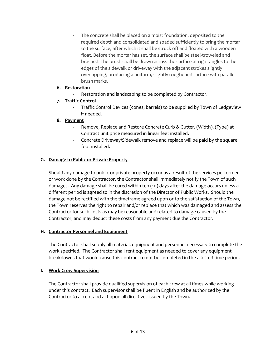The concrete shall be placed on a moist foundation, deposited to the required depth and consolidated and spaded sufficiently to bring the mortar to the surface, after which it shall be struck off and floated with a wooden float. Before the mortar has set, the surface shall be steel-troweled and brushed. The brush shall be drawn across the surface at right angles to the edges of the sidewalk or driveway with the adjacent strokes slightly overlapping, producing a uniform, slightly roughened surface with parallel brush marks.

#### **6. Restoration**

Restoration and landscaping to be completed by Contractor.

#### **7. Traffic Control**

- Traffic Control Devices (cones, barrels) to be supplied by Town of Ledgeview if needed.

#### **8. Payment**

- Remove, Replace and Restore Concrete Curb & Gutter, (Width), (Type) at Contract unit price measured in linear feet installed.
- Concrete Driveway/Sidewalk remove and replace will be paid by the square foot installed.

#### **G. Damage to Public or Private Property**

Should any damage to public or private property occur as a result of the services performed or work done by the Contractor, the Contractor shall immediately notify the Town of such damages. Any damage shall be cured within ten (10) days after the damage occurs unless a different period is agreed to in the discretion of the Director of Public Works. Should the damage not be rectified with the timeframe agreed upon or to the satisfaction of the Town, the Town reserves the right to repair and/or replace that which was damaged and assess the Contractor for such costs as may be reasonable and related to damage caused by the Contractor, and may deduct these costs from any payment due the Contractor.

#### **H. Contractor Personnel and Equipment**

The Contractor shall supply all material, equipment and personnel necessary to complete the work specified. The Contractor shall rent equipment as needed to cover any equipment breakdowns that would cause this contract to not be completed in the allotted time period.

#### **I. Work Crew Supervision**

The Contractor shall provide qualified supervision of each crew at all times while working under this contract. Each supervisor shall be fluent in English and be authorized by the Contractor to accept and act upon all directives issued by the Town.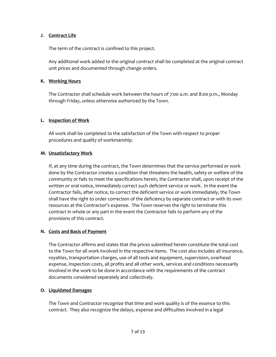#### **J. Contract Life**

The term of the contract is confined to this project.

Any additional work added to the original contract shall be completed at the original contract unit prices and documented through change orders.

#### **K. Working Hours**

The Contractor shall schedule work between the hours of 7:00 a.m. and 8:00 p.m., Monday through Friday, unless otherwise authorized by the Town.

#### **L. Inspection of Work**

All work shall be completed to the satisfaction of the Town with respect to proper procedures and quality of workmanship.

#### **M. Unsatisfactory Work**

If, at any time during the contract, the Town determines that the service performed or work done by the Contractor creates a condition that threatens the health, safety or welfare of the community or fails to meet the specifications herein, the Contractor shall, upon receipt of the written or oral notice, immediately correct such deficient service or work. In the event the Contractor fails, after notice, to correct the deficient service or work immediately, the Town shall have the right to order correction of the deficiency by separate contract or with its own resources at the Contractor's expense. The Town reserves the right to terminate this contract in whole or any part in the event the Contractor fails to perform any of the provisions of this contract.

#### **N. Costs and Basis of Payment**

The Contractor affirms and states that the prices submitted herein constitute the total cost to the Town for all work involved in the respective items. The cost also includes all insurance, royalties, transportation charges, use of all tools and equipment, supervision, overhead expense, inspection costs, all profits and all other work, services and conditions necessarily involved in the work to be done in accordance with the requirements of the contract documents considered separately and collectively.

#### **O. Liquidated Damages**

The Town and Contractor recognize that time and work quality is of the essence to this contract. They also recognize the delays, expense and difficulties involved in a legal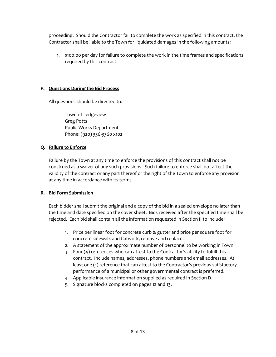proceeding. Should the Contractor fail to complete the work as specified in this contract, the Contractor shall be liable to the Town for liquidated damages in the following amounts:

1. \$100.00 per day for failure to complete the work in the time frames and specifications required by this contract.

#### **P. Questions During the Bid Process**

All questions should be directed to:

Town of Ledgeview Greg Potts Public Works Department Phone: (920) 336-3360 x102

#### **Q. Failure to Enforce**

Failure by the Town at any time to enforce the provisions of this contract shall not be construed as a waiver of any such provisions. Such failure to enforce shall not affect the validity of the contract or any part thereof or the right of the Town to enforce any provision at any time in accordance with its terms.

#### **R. Bid Form Submission**

Each bidder shall submit the original and a copy of the bid in a sealed envelope no later than the time and date specified on the cover sheet. Bids received after the specified time shall be rejected. Each bid shall contain all the information requested in Section II to include:

- 1. Price per linear foot for concrete curb & gutter and price per square foot for concrete sidewalk and flatwork, remove and replace.
- 2. A statement of the approximate number of personnel to be working in Town.
- 3. Four (4) references who can attest to the Contractor's ability to fulfill this contract. Include names, addresses, phone numbers and email addresses. At least one (1) reference that can attest to the Contractor's previous satisfactory performance of a municipal or other governmental contract is preferred.
- 4. Applicable insurance information supplied as required in Section D.
- 5. Signature blocks completed on pages 12 and 13.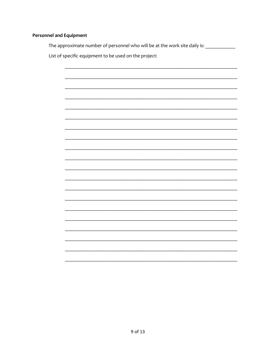### **Personnel and Equipment**

The approximate number of personnel who will be at the work site daily is: \_\_\_\_\_\_\_\_\_\_\_\_

List of specific equipment to be used on the project:

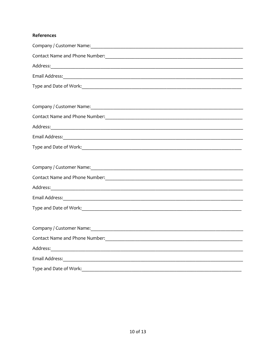## References

| Contact Name and Phone Number: 1988 March 2014 1999 March 2014 1999 March 2014 1999 March 2014 |  |  |
|------------------------------------------------------------------------------------------------|--|--|
|                                                                                                |  |  |
|                                                                                                |  |  |
|                                                                                                |  |  |
|                                                                                                |  |  |
|                                                                                                |  |  |
| Contact Name and Phone Number: Manual Manual Manual Manual Manual Manual Manual Manual Manual  |  |  |
|                                                                                                |  |  |
|                                                                                                |  |  |
|                                                                                                |  |  |
|                                                                                                |  |  |
|                                                                                                |  |  |
|                                                                                                |  |  |
|                                                                                                |  |  |
|                                                                                                |  |  |
|                                                                                                |  |  |
|                                                                                                |  |  |
|                                                                                                |  |  |
| Contact Name and Phone Number: 1988 March 2014 March 2014 March 2014 March 2014 March 2014     |  |  |
|                                                                                                |  |  |
|                                                                                                |  |  |
| Type and Date of Work:                                                                         |  |  |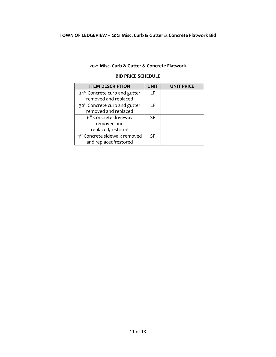#### **TOWN OF LEDGEVIEW – 2021 Misc. Curb & Gutter & Concrete Flatwork Bid**

#### **2021 Misc. Curb & Gutter & Concrete Flatwork**

#### **BID PRICE SCHEDULE**

| <b>ITEM DESCRIPTION</b>      | <b>UNIT</b> | <b>UNIT PRICE</b> |
|------------------------------|-------------|-------------------|
| 24" Concrete curb and gutter | ΙF          |                   |
| removed and replaced         |             |                   |
| 30" Concrete curb and gutter | ΙF          |                   |
| removed and replaced         |             |                   |
| 6" Concrete driveway         | SF.         |                   |
| removed and                  |             |                   |
| replaced/restored            |             |                   |
| 4" Concrete sidewalk removed | <b>SF</b>   |                   |
| and replaced/restored        |             |                   |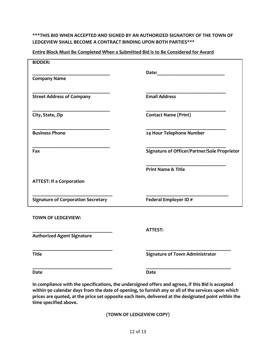#### **\*\*\*THIS BID WHEN ACCEPTED AND SIGNED BY AN AUTHORIZED SIGNATORY OF THE TOWN OF LEDGEVIEW SHALL BECOME A CONTRACT BINDING UPON BOTH PARTIES\*\*\***

| Entire Block Must Be Completed When a Submitted Bid Is to Be Considered for Award |
|-----------------------------------------------------------------------------------|
|                                                                                   |

| <b>BIDDER:</b>                            |                                                                                                                                                                                                                                |
|-------------------------------------------|--------------------------------------------------------------------------------------------------------------------------------------------------------------------------------------------------------------------------------|
|                                           | Date: the contract of the contract of the contract of the contract of the contract of the contract of the contract of the contract of the contract of the contract of the contract of the contract of the contract of the cont |
| <b>Company Name</b>                       |                                                                                                                                                                                                                                |
|                                           |                                                                                                                                                                                                                                |
| <b>Street Address of Company</b>          | <b>Email Address</b>                                                                                                                                                                                                           |
|                                           |                                                                                                                                                                                                                                |
| City, State, Zip                          | <b>Contact Name (Print)</b>                                                                                                                                                                                                    |
|                                           |                                                                                                                                                                                                                                |
| <b>Business Phone</b>                     | 24 Hour Telephone Number                                                                                                                                                                                                       |
|                                           |                                                                                                                                                                                                                                |
| Fax                                       | Signature of Officer/Partner/Sole Proprietor                                                                                                                                                                                   |
|                                           |                                                                                                                                                                                                                                |
|                                           | <b>Print Name &amp; Title</b>                                                                                                                                                                                                  |
| <b>ATTEST: If a Corporation</b>           |                                                                                                                                                                                                                                |
|                                           |                                                                                                                                                                                                                                |
| <b>Signature of Corporation Secretary</b> | Federal Employer ID#                                                                                                                                                                                                           |
|                                           |                                                                                                                                                                                                                                |
| <b>TOWN OF LEDGEVIEW:</b>                 |                                                                                                                                                                                                                                |
|                                           | <b>ATTEST:</b>                                                                                                                                                                                                                 |
| <b>Authorized Agent Signature</b>         |                                                                                                                                                                                                                                |
|                                           |                                                                                                                                                                                                                                |
| <b>Title</b>                              | <b>Signature of Town Administrator</b>                                                                                                                                                                                         |
|                                           |                                                                                                                                                                                                                                |
| <b>Date</b>                               | <b>Date</b>                                                                                                                                                                                                                    |

**In compliance with the specifications, the undersigned offers and agrees, if this Bid is accepted within 90 calendar days from the date of opening, to furnish any or all of the services upon which prices are quoted, at the price set opposite each item, delivered at the designated point within the time specified above.**

**(TOWN OF LEDGEVIEW COPY)**